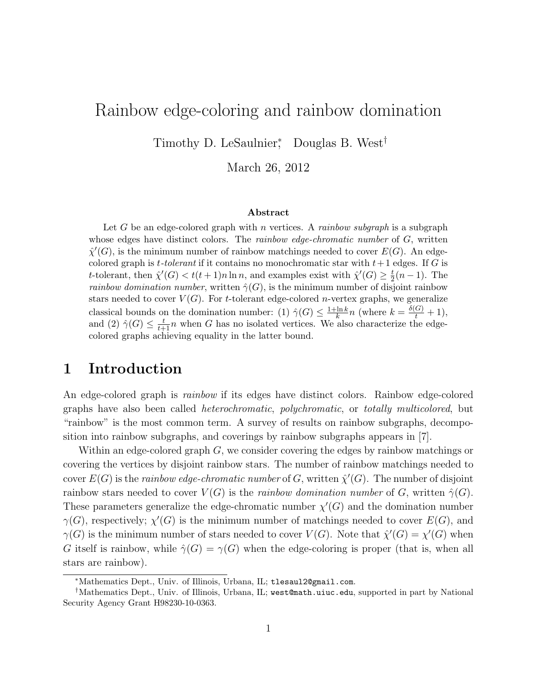## Rainbow edge-coloring and rainbow domination

Timothy D. LeSaulnier<sup>\*</sup>, Douglas B. West<sup>†</sup>

March 26, 2012

#### Abstract

Let G be an edge-colored graph with n vertices. A rainbow subgraph is a subgraph whose edges have distinct colors. The *rainbow edge-chromatic number* of  $G$ , written  $\hat{\chi}'(G)$ , is the minimum number of rainbow matchings needed to cover  $E(G)$ . An edgecolored graph is *t*-tolerant if it contains no monochromatic star with  $t+1$  edges. If G is t-tolerant, then  $\hat{\chi}'(G) < t(t+1)n \ln n$ , and examples exist with  $\hat{\chi}'(G) \geq \frac{t}{2}$  $\frac{t}{2}(n-1)$ . The *rainbow domination number*, written  $\hat{\gamma}(G)$ , is the minimum number of disjoint rainbow stars needed to cover  $V(G)$ . For t-tolerant edge-colored n-vertex graphs, we generalize classical bounds on the domination number: (1)  $\hat{\gamma}(G) \leq \frac{1 + \ln k}{k}$  $\frac{\ln k}{k}n$  (where  $k = \frac{\delta(G)}{t} + 1$ ), and (2)  $\hat{\gamma}(G) \leq \frac{t}{t+1}n$  when G has no isolated vertices. We also characterize the edgecolored graphs achieving equality in the latter bound.

### 1 Introduction

An edge-colored graph is *rainbow* if its edges have distinct colors. Rainbow edge-colored graphs have also been called heterochromatic, polychromatic, or totally multicolored, but "rainbow" is the most common term. A survey of results on rainbow subgraphs, decomposition into rainbow subgraphs, and coverings by rainbow subgraphs appears in [7].

Within an edge-colored graph G, we consider covering the edges by rainbow matchings or covering the vertices by disjoint rainbow stars. The number of rainbow matchings needed to cover  $E(G)$  is the rainbow edge-chromatic number of G, written  $\hat{\chi}'(G)$ . The number of disjoint rainbow stars needed to cover  $V(G)$  is the *rainbow domination number* of G, written  $\hat{\gamma}(G)$ . These parameters generalize the edge-chromatic number  $\chi'(G)$  and the domination number  $\gamma(G)$ , respectively;  $\chi'(G)$  is the minimum number of matchings needed to cover  $E(G)$ , and  $\gamma(G)$  is the minimum number of stars needed to cover  $V(G)$ . Note that  $\hat{\chi}'(G) = \chi'(G)$  when G itself is rainbow, while  $\hat{\gamma}(G) = \gamma(G)$  when the edge-coloring is proper (that is, when all stars are rainbow).

<sup>∗</sup>Mathematics Dept., Univ. of Illinois, Urbana, IL; tlesaul2@gmail.com.

<sup>†</sup>Mathematics Dept., Univ. of Illinois, Urbana, IL; west@math.uiuc.edu, supported in part by National Security Agency Grant H98230-10-0363.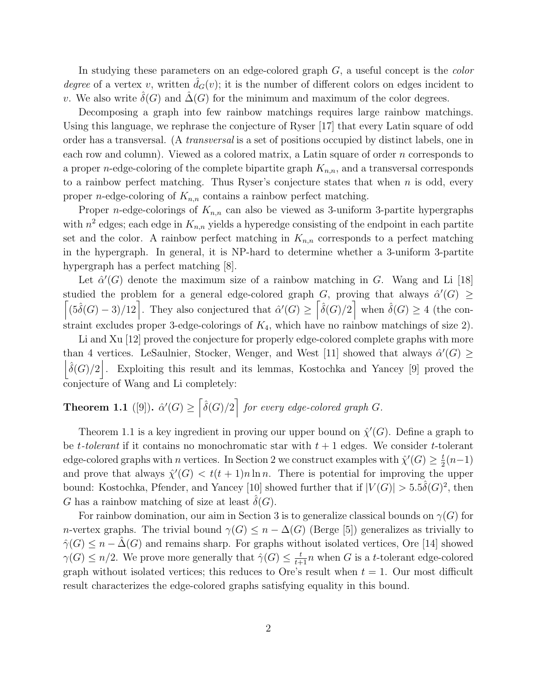In studying these parameters on an edge-colored graph  $G$ , a useful concept is the *color* degree of a vertex v, written  $\hat{d}_G(v)$ ; it is the number of different colors on edges incident to v. We also write  $\hat{\delta}(G)$  and  $\hat{\Delta}(G)$  for the minimum and maximum of the color degrees.

Decomposing a graph into few rainbow matchings requires large rainbow matchings. Using this language, we rephrase the conjecture of Ryser [17] that every Latin square of odd order has a transversal. (A transversal is a set of positions occupied by distinct labels, one in each row and column). Viewed as a colored matrix, a Latin square of order n corresponds to a proper *n*-edge-coloring of the complete bipartite graph  $K_{n,n}$ , and a transversal corresponds to a rainbow perfect matching. Thus Ryser's conjecture states that when  $n$  is odd, every proper *n*-edge-coloring of  $K_{n,n}$  contains a rainbow perfect matching.

Proper *n*-edge-colorings of  $K_{n,n}$  can also be viewed as 3-uniform 3-partite hypergraphs with  $n^2$  edges; each edge in  $K_{n,n}$  yields a hyperedge consisting of the endpoint in each partite set and the color. A rainbow perfect matching in  $K_{n,n}$  corresponds to a perfect matching in the hypergraph. In general, it is NP-hard to determine whether a 3-uniform 3-partite hypergraph has a perfect matching [8].

Let  $\hat{\alpha}'(G)$  denote the maximum size of a rainbow matching in G. Wang and Li [18] studied the problem for a general edge-colored graph G, proving that always  $\hat{\alpha}'(G) \geq$  $\left[ (5\hat{\delta}(G) - 3)/12 \right]$ . They also conjectured that  $\hat{\alpha}'(G) \geq \left[ \hat{\delta}(G)/2 \right]$  when  $\hat{\delta}(G) \geq 4$  (the constraint excludes proper 3-edge-colorings of  $K_4$ , which have no rainbow matchings of size 2).

Li and Xu [12] proved the conjecture for properly edge-colored complete graphs with more than 4 vertices. LeSaulnier, Stocker, Wenger, and West [11] showed that always  $\hat{\alpha}'(G) \geq$  $\left|\hat{\delta}(G)/2\right|$ . Exploiting this result and its lemmas, Kostochka and Yancey [9] proved the conjecture of Wang and Li completely:

# **Theorem 1.1** ([9]).  $\hat{\alpha}'(G) \geq \left[\hat{\delta}(G)/2\right]$  for every edge-colored graph G.

Theorem 1.1 is a key ingredient in proving our upper bound on  $\hat{\chi}'(G)$ . Define a graph to be t-tolerant if it contains no monochromatic star with  $t+1$  edges. We consider t-tolerant edge-colored graphs with n vertices. In Section 2 we construct examples with  $\hat{\chi}'(G) \geq \frac{t}{2}$  $rac{t}{2}(n-1)$ and prove that always  $\hat{\chi}'(G) < t(t+1)n \ln n$ . There is potential for improving the upper bound: Kostochka, Pfender, and Yancey [10] showed further that if  $|V(G)| > 5.5\hat{\delta}(G)^2$ , then G has a rainbow matching of size at least  $\delta(G)$ .

For rainbow domination, our aim in Section 3 is to generalize classical bounds on  $\gamma(G)$  for n-vertex graphs. The trivial bound  $\gamma(G) \leq n - \Delta(G)$  (Berge [5]) generalizes as trivially to  $\hat{\gamma}(G) \leq n - \hat{\Delta}(G)$  and remains sharp. For graphs without isolated vertices, Ore [14] showed  $\gamma(G) \leq n/2$ . We prove more generally that  $\hat{\gamma}(G) \leq \frac{t}{t+1}n$  when G is a t-tolerant edge-colored graph without isolated vertices; this reduces to Ore's result when  $t = 1$ . Our most difficult result characterizes the edge-colored graphs satisfying equality in this bound.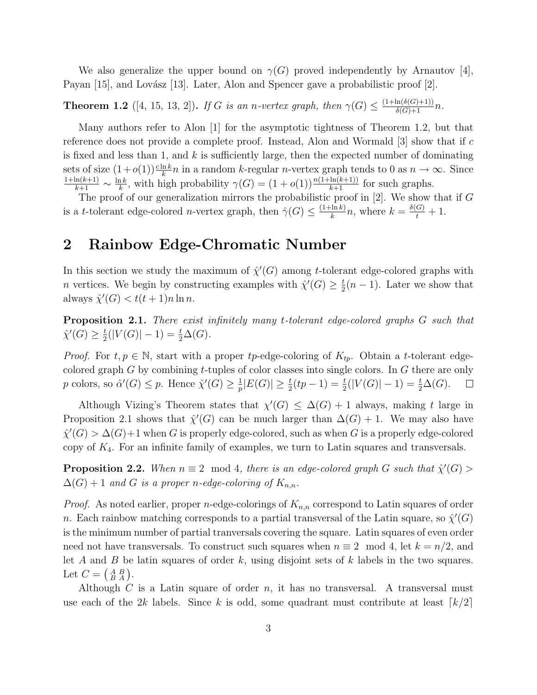We also generalize the upper bound on  $\gamma(G)$  proved independently by Arnautov [4], Payan [15], and Lovász [13]. Later, Alon and Spencer gave a probabilistic proof [2].

**Theorem 1.2** ([4, 15, 13, 2]). If G is an n-vertex graph, then  $\gamma(G) \leq \frac{(1 + \ln(\delta(G) + 1))}{\delta(G) + 1}n$ .

Many authors refer to Alon [1] for the asymptotic tightness of Theorem 1.2, but that reference does not provide a complete proof. Instead, Alon and Wormald  $[3]$  show that if c is fixed and less than 1, and  $k$  is sufficiently large, then the expected number of dominating sets of size  $(1+o(1))\frac{c\ln k}{k}n$  in a random k-regular *n*-vertex graph tends to 0 as  $n \to \infty$ . Since  $\frac{1+\ln(k+1)}{k+1} \sim \frac{\ln k}{k}$  $\frac{nk}{k}$ , with high probability  $\gamma(G) = (1 + o(1)) \frac{n(1 + \ln(k+1))}{k+1}$  for such graphs.

The proof of our generalization mirrors the probabilistic proof in  $[2]$ . We show that if G is a t-tolerant edge-colored n-vertex graph, then  $\hat{\gamma}(G) \leq \frac{(1+\ln k)}{k}$  $\frac{\ln k}{k}n$ , where  $k = \frac{\delta(G)}{t} + 1$ .

### 2 Rainbow Edge-Chromatic Number

In this section we study the maximum of  $\hat{\chi}'(G)$  among t-tolerant edge-colored graphs with *n* vertices. We begin by constructing examples with  $\hat{\chi}'(G) \geq \frac{t}{2}$  $\frac{t}{2}(n-1)$ . Later we show that always  $\hat{\chi}'(G) < t(t+1)n \ln n$ .

**Proposition 2.1.** There exist infinitely many t-tolerant edge-colored graphs G such that  $\hat{\chi}'(G) \geq \frac{t}{2}$  $\frac{t}{2}(|V(G)|-1) = \frac{t}{2}\Delta(G).$ 

*Proof.* For  $t, p \in \mathbb{N}$ , start with a proper tp-edge-coloring of  $K_{tp}$ . Obtain a t-tolerant edgecolored graph G by combining t-tuples of color classes into single colors. In G there are only p colors, so  $\hat{\alpha}'(G) \leq p$ . Hence  $\hat{\chi}'(G) \geq \frac{1}{n}$  $\frac{1}{p}|E(G)| \geq \frac{t}{2}(tp-1) = \frac{t}{2}(|V(G)|-1) = \frac{t}{2}\Delta(G).$  $\Box$ 

Although Vizing's Theorem states that  $\chi'(G) \leq \Delta(G) + 1$  always, making t large in Proposition 2.1 shows that  $\hat{\chi}'(G)$  can be much larger than  $\Delta(G) + 1$ . We may also have  $\hat{\chi}'(G) > \Delta(G) + 1$  when G is properly edge-colored, such as when G is a properly edge-colored copy of  $K_4$ . For an infinite family of examples, we turn to Latin squares and transversals.

**Proposition 2.2.** When  $n \equiv 2 \mod 4$ , there is an edge-colored graph G such that  $\hat{\chi}'(G)$  $\Delta(G) + 1$  and G is a proper n-edge-coloring of  $K_{n,n}$ .

*Proof.* As noted earlier, proper *n*-edge-colorings of  $K_{n,n}$  correspond to Latin squares of order n. Each rainbow matching corresponds to a partial transversal of the Latin square, so  $\hat{\chi}'(G)$ is the minimum number of partial tranversals covering the square. Latin squares of even order need not have transversals. To construct such squares when  $n \equiv 2 \mod 4$ , let  $k = n/2$ , and let A and B be latin squares of order k, using disjoint sets of k labels in the two squares. Let  $C = \begin{pmatrix} A & B \\ B & A \end{pmatrix}$ .

Although  $C$  is a Latin square of order  $n$ , it has no transversal. A transversal must use each of the 2k labels. Since k is odd, some quadrant must contribute at least  $\lceil k/2 \rceil$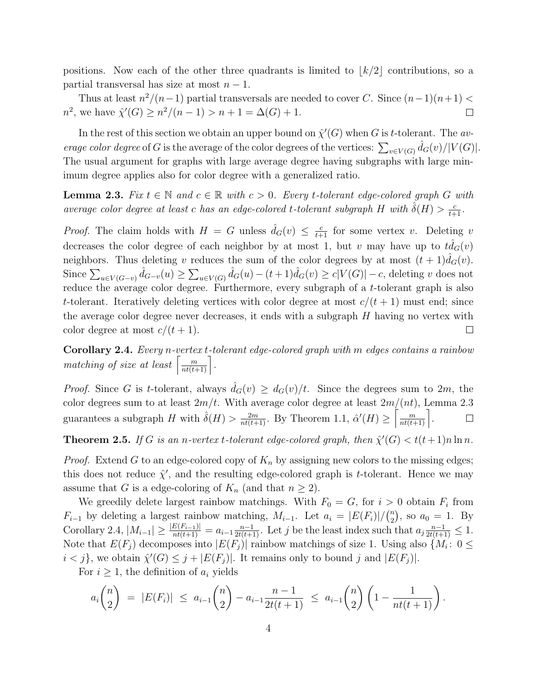positions. Now each of the other three quadrants is limited to  $\lfloor k/2 \rfloor$  contributions, so a partial transversal has size at most  $n - 1$ .

Thus at least  $n^2/(n-1)$  partial transversals are needed to cover C. Since  $(n-1)(n+1)$  $n^2$ , we have  $\hat{\chi}'(G) \geq n^2/(n-1) > n+1 = \Delta(G) + 1$ .  $\Box$ 

In the rest of this section we obtain an upper bound on  $\hat{\chi}'(G)$  when G is t-tolerant. The average color degree of G is the average of the color degrees of the vertices:  $\sum_{v \in V(G)} \hat{d}_G(v)/|V(G)|$ . The usual argument for graphs with large average degree having subgraphs with large minimum degree applies also for color degree with a generalized ratio.

**Lemma 2.3.** Fix  $t \in \mathbb{N}$  and  $c \in \mathbb{R}$  with  $c > 0$ . Every t-tolerant edge-colored graph G with average color degree at least c has an edge-colored t-tolerant subgraph H with  $\hat{\delta}(H) > \frac{c}{t+1}$ .

*Proof.* The claim holds with  $H = G$  unless  $\hat{d}_G(v) \leq \frac{c}{t+1}$  for some vertex v. Deleting v decreases the color degree of each neighbor by at most 1, but v may have up to  $\hat{td}_G(v)$ neighbors. Thus deleting v reduces the sum of the color degrees by at most  $(t + 1) d_G(v)$ . Since  $\sum_{u\in V(G-v)} \hat{d}_{G-v}(u) \geq \sum_{u\in V(G)} \hat{d}_G(u) - (t+1)\hat{d}_G(v) \geq c|V(G)| - c$ , deleting v does not reduce the average color degree. Furthermore, every subgraph of a t-tolerant graph is also t-tolerant. Iteratively deleting vertices with color degree at most  $c/(t+1)$  must end; since the average color degree never decreases, it ends with a subgraph  $H$  having no vertex with color degree at most  $c/(t+1)$ .  $\Box$ 

Corollary 2.4. Every n-vertex t-tolerant edge-colored graph with m edges contains a rainbow matching of size at least  $\left\lceil \frac{m}{nt(t+1)} \right\rceil$ .

*Proof.* Since G is t-tolerant, always  $d_G(v) \geq d_G(v)/t$ . Since the degrees sum to 2m, the color degrees sum to at least  $2m/t$ . With average color degree at least  $2m/(nt)$ , Lemma 2.3 guarantees a subgraph H with  $\hat{\delta}(H) > \frac{2m}{nt(t+1)}$ . By Theorem 1.1,  $\hat{\alpha}'(H) \ge \left\lceil \frac{m}{nt(t+1)} \right\rceil$ .  $\Box$ 

**Theorem 2.5.** If G is an n-vertex t-tolerant edge-colored graph, then  $\hat{\chi}'(G) < t(t+1)n \ln n$ .

*Proof.* Extend G to an edge-colored copy of  $K_n$  by assigning new colors to the missing edges; this does not reduce  $\hat{\chi}'$ , and the resulting edge-colored graph is *t*-tolerant. Hence we may assume that G is a edge-coloring of  $K_n$  (and that  $n \geq 2$ ).

We greedily delete largest rainbow matchings. With  $F_0 = G$ , for  $i > 0$  obtain  $F_i$  from  $F_{i-1}$  by deleting a largest rainbow matching,  $M_{i-1}$ . Let  $a_i = |E(F_i)| / {n \choose 2}$  $\binom{n}{2}$ , so  $a_0 = 1$ . By Corollary 2.4,  $|M_{i-1}| \geq \frac{|E(F_{i-1})|}{nt(t+1)} = a_{i-1} \frac{n-1}{2t(t+1)}$ . Let j be the least index such that  $a_j \frac{n-1}{2t(t+1)} \leq 1$ . Note that  $E(F_j)$  decomposes into  $|E(F_j)|$  rainbow matchings of size 1. Using also  $\{M_i: 0 \leq$  $i < j$ , we obtain  $\hat{\chi}'(G) \leq j + |E(F_j)|$ . It remains only to bound j and  $|E(F_j)|$ .

For  $i \geq 1$ , the definition of  $a_i$  yields

$$
a_i \binom{n}{2} \ = \ |E(F_i)| \ \leq \ a_{i-1} \binom{n}{2} - a_{i-1} \frac{n-1}{2t(t+1)} \ \leq \ a_{i-1} \binom{n}{2} \left(1 - \frac{1}{nt(t+1)}\right).
$$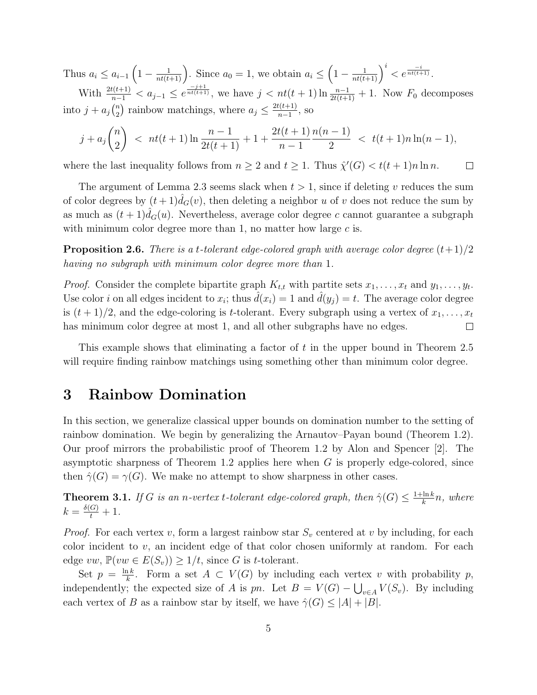Thus  $a_i \le a_{i-1} \left(1 - \frac{1}{nt(t+1)}\right)$ . Since  $a_0 = 1$ , we obtain  $a_i \le \left(1 - \frac{1}{nt(t+1)}\right)^i < e^{\frac{-i}{nt(t+1)}}$ . With  $\frac{2t(t+1)}{n-1} < a_{j-1} \le e^{\frac{-j+1}{nt(t+1)}}$ , we have  $j < nt(t+1) \ln \frac{n-1}{2t(t+1)} + 1$ . Now  $F_0$  decomposes into  $j + a_j\binom{n}{2}$  $\binom{n}{2}$  rainbow matchings, where  $a_j \leq \frac{2t(t+1)}{n-1}$  $\frac{t(t+1)}{n-1}$ , so

$$
j + a_j {n \choose 2} < nt(t+1) \ln \frac{n-1}{2t(t+1)} + 1 + \frac{2t(t+1)}{n-1} \frac{n(n-1)}{2} < t(t+1)n \ln(n-1),
$$

where the last inequality follows from  $n \geq 2$  and  $t \geq 1$ . Thus  $\hat{\chi}'(G) < t(t+1)n \ln n$ .  $\Box$ 

The argument of Lemma 2.3 seems slack when  $t > 1$ , since if deleting v reduces the sum of color degrees by  $(t+1)\hat{d}_G(v)$ , then deleting a neighbor u of v does not reduce the sum by as much as  $(t+1)\hat{d}_G(u)$ . Nevertheless, average color degree c cannot guarantee a subgraph with minimum color degree more than 1, no matter how large  $c$  is.

**Proposition 2.6.** There is a t-tolerant edge-colored graph with average color degree  $(t+1)/2$ having no subgraph with minimum color degree more than 1.

*Proof.* Consider the complete bipartite graph  $K_{t,t}$  with partite sets  $x_1, \ldots, x_t$  and  $y_1, \ldots, y_t$ . Use color *i* on all edges incident to  $x_i$ ; thus  $\hat{d}(x_i) = 1$  and  $\hat{d}(y_j) = t$ . The average color degree is  $(t+1)/2$ , and the edge-coloring is t-tolerant. Every subgraph using a vertex of  $x_1, \ldots, x_t$ has minimum color degree at most 1, and all other subgraphs have no edges.  $\Box$ 

This example shows that eliminating a factor of t in the upper bound in Theorem 2.5 will require finding rainbow matchings using something other than minimum color degree.

### 3 Rainbow Domination

In this section, we generalize classical upper bounds on domination number to the setting of rainbow domination. We begin by generalizing the Arnautov–Payan bound (Theorem 1.2). Our proof mirrors the probabilistic proof of Theorem 1.2 by Alon and Spencer [2]. The asymptotic sharpness of Theorem 1.2 applies here when  $G$  is properly edge-colored, since then  $\hat{\gamma}(G) = \gamma(G)$ . We make no attempt to show sharpness in other cases.

**Theorem 3.1.** If G is an n-vertex t-tolerant edge-colored graph, then  $\hat{\gamma}(G) \leq \frac{1 + \ln k}{k}$  $\frac{\ln k}{k}n$ , where  $k = \frac{\delta(G)}{t} + 1.$ 

*Proof.* For each vertex v, form a largest rainbow star  $S_v$  centered at v by including, for each color incident to  $v$ , an incident edge of that color chosen uniformly at random. For each edge vw,  $\mathbb{P}(vw \in E(S_v)) \geq 1/t$ , since G is t-tolerant.

Set  $p = \frac{\ln k}{k}$  $\frac{1}{k}$ . Form a set  $A \subset V(G)$  by including each vertex v with probability p, independently; the expected size of A is pn. Let  $B = V(G) - \bigcup_{v \in A} V(S_v)$ . By including each vertex of B as a rainbow star by itself, we have  $\hat{\gamma}(G) \leq |A| + |B|$ .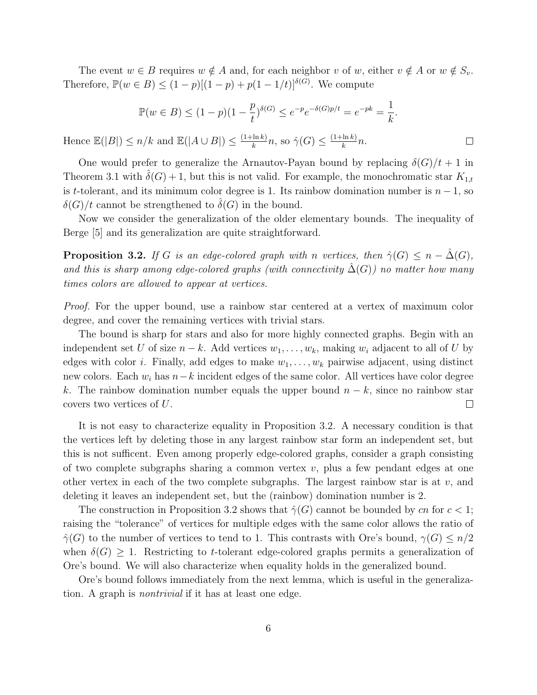The event  $w \in B$  requires  $w \notin A$  and, for each neighbor v of w, either  $v \notin A$  or  $w \notin S_v$ . Therefore,  $\mathbb{P}(w \in B) \leq (1-p)[(1-p) + p(1-1/t)]^{\delta(G)}$ . We compute

$$
\mathbb{P}(w \in B) \le (1 - p)(1 - \frac{p}{t})^{\delta(G)} \le e^{-p}e^{-\delta(G)p/t} = e^{-pk} = \frac{1}{k}.
$$

 $\Box$ 

Hence  $\mathbb{E}(|B|) \leq n/k$  and  $\mathbb{E}(|A \cup B|) \leq \frac{(1+\ln k)}{k}$  $\frac{\ln k}{k}n$ , so  $\hat{\gamma}(G) \leq \frac{(1+\ln k)}{k}$  $\frac{\ln k}{k}n$ .

One would prefer to generalize the Arnautov-Payan bound by replacing  $\delta(G)/t + 1$  in Theorem 3.1 with  $\hat{\delta}(G) + 1$ , but this is not valid. For example, the monochromatic star  $K_{1,t}$ is t-tolerant, and its minimum color degree is 1. Its rainbow domination number is  $n-1$ , so  $\delta(G)/t$  cannot be strengthened to  $\delta(G)$  in the bound.

Now we consider the generalization of the older elementary bounds. The inequality of Berge [5] and its generalization are quite straightforward.

**Proposition 3.2.** If G is an edge-colored graph with n vertices, then  $\hat{\gamma}(G) \leq n - \hat{\Delta}(G)$ , and this is sharp among edge-colored graphs (with connectivity  $\Delta(G)$ ) no matter how many times colors are allowed to appear at vertices.

Proof. For the upper bound, use a rainbow star centered at a vertex of maximum color degree, and cover the remaining vertices with trivial stars.

The bound is sharp for stars and also for more highly connected graphs. Begin with an independent set U of size  $n - k$ . Add vertices  $w_1, \ldots, w_k$ , making  $w_i$  adjacent to all of U by edges with color i. Finally, add edges to make  $w_1, \ldots, w_k$  pairwise adjacent, using distinct new colors. Each  $w_i$  has  $n-k$  incident edges of the same color. All vertices have color degree k. The rainbow domination number equals the upper bound  $n - k$ , since no rainbow star covers two vertices of U.  $\Box$ 

It is not easy to characterize equality in Proposition 3.2. A necessary condition is that the vertices left by deleting those in any largest rainbow star form an independent set, but this is not sufficent. Even among properly edge-colored graphs, consider a graph consisting of two complete subgraphs sharing a common vertex  $v$ , plus a few pendant edges at one other vertex in each of the two complete subgraphs. The largest rainbow star is at  $v$ , and deleting it leaves an independent set, but the (rainbow) domination number is 2.

The construction in Proposition 3.2 shows that  $\hat{\gamma}(G)$  cannot be bounded by cn for  $c < 1$ ; raising the "tolerance" of vertices for multiple edges with the same color allows the ratio of  $\hat{\gamma}(G)$  to the number of vertices to tend to 1. This contrasts with Ore's bound,  $\gamma(G) \leq n/2$ when  $\delta(G) > 1$ . Restricting to t-tolerant edge-colored graphs permits a generalization of Ore's bound. We will also characterize when equality holds in the generalized bound.

Ore's bound follows immediately from the next lemma, which is useful in the generalization. A graph is nontrivial if it has at least one edge.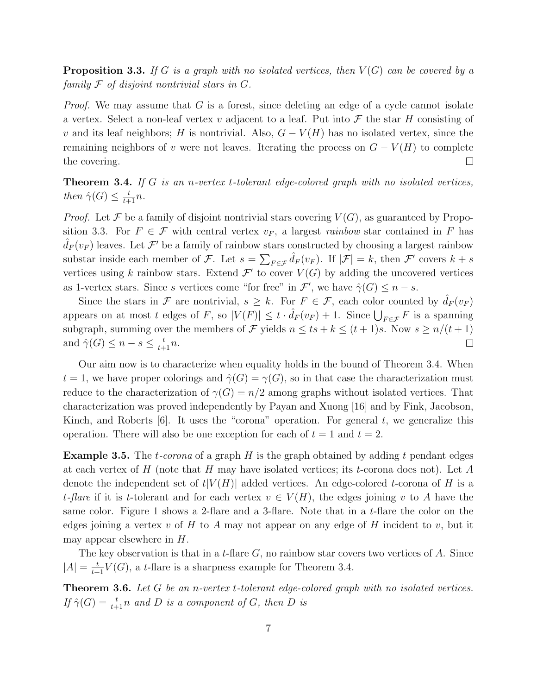**Proposition 3.3.** If G is a graph with no isolated vertices, then  $V(G)$  can be covered by a family  $\mathcal F$  of disjoint nontrivial stars in  $G$ .

Proof. We may assume that G is a forest, since deleting an edge of a cycle cannot isolate a vertex. Select a non-leaf vertex v adjacent to a leaf. Put into  $\mathcal F$  the star H consisting of v and its leaf neighbors; H is nontrivial. Also,  $G - V(H)$  has no isolated vertex, since the remaining neighbors of v were not leaves. Iterating the process on  $G - V(H)$  to complete the covering.  $\Box$ 

**Theorem 3.4.** If G is an n-vertex t-tolerant edge-colored graph with no isolated vertices, then  $\hat{\gamma}(G) \leq \frac{t}{t+1}n$ .

*Proof.* Let F be a family of disjoint nontrivial stars covering  $V(G)$ , as guaranteed by Proposition 3.3. For  $F \in \mathcal{F}$  with central vertex  $v_F$ , a largest *rainbow* star contained in F has  $\hat{d}_F(v_F)$  leaves. Let  $\mathcal{F}'$  be a family of rainbow stars constructed by choosing a largest rainbow substar inside each member of F. Let  $s = \sum_{F \in \mathcal{F}} \hat{d}_F(v_F)$ . If  $|\mathcal{F}| = k$ , then F' covers  $k + s$ vertices using k rainbow stars. Extend  $\mathcal{F}'$  to cover  $V(G)$  by adding the uncovered vertices as 1-vertex stars. Since s vertices come "for free" in  $\mathcal{F}'$ , we have  $\hat{\gamma}(G) \leq n - s$ .

Since the stars in F are nontrivial,  $s \geq k$ . For  $F \in \mathcal{F}$ , each color counted by  $\hat{d}_F(v_F)$ appears on at most t edges of F, so  $|V(F)| \leq t \cdot \hat{d}_F(v_F) + 1$ . Since  $\bigcup_{F \in \mathcal{F}} F$  is a spanning subgraph, summing over the members of  $\mathcal F$  yields  $n \leq ts + k \leq (t + 1)s$ . Now  $s \geq n/(t + 1)$ and  $\hat{\gamma}(G) \leq n - s \leq \frac{t}{t+1}n$ .  $\Box$ 

Our aim now is to characterize when equality holds in the bound of Theorem 3.4. When  $t = 1$ , we have proper colorings and  $\hat{\gamma}(G) = \gamma(G)$ , so in that case the characterization must reduce to the characterization of  $\gamma(G) = n/2$  among graphs without isolated vertices. That characterization was proved independently by Payan and Xuong [16] and by Fink, Jacobson, Kinch, and Roberts  $[6]$ . It uses the "corona" operation. For general t, we generalize this operation. There will also be one exception for each of  $t = 1$  and  $t = 2$ .

**Example 3.5.** The *t*-corona of a graph H is the graph obtained by adding t pendant edges at each vertex of H (note that H may have isolated vertices; its t-corona does not). Let A denote the independent set of  $t|V(H)|$  added vertices. An edge-colored t-corona of H is a t-flare if it is t-tolerant and for each vertex  $v \in V(H)$ , the edges joining v to A have the same color. Figure 1 shows a 2-flare and a 3-flare. Note that in a t-flare the color on the edges joining a vertex v of H to A may not appear on any edge of H incident to v, but it may appear elsewhere in  $H$ .

The key observation is that in a t-flare  $G$ , no rainbow star covers two vertices of A. Since  $|A| = \frac{t}{t+1}V(G)$ , a t-flare is a sharpness example for Theorem 3.4.

Theorem 3.6. Let G be an n-vertex t-tolerant edge-colored graph with no isolated vertices. If  $\hat{\gamma}(G) = \frac{t}{t+1}n$  and D is a component of G, then D is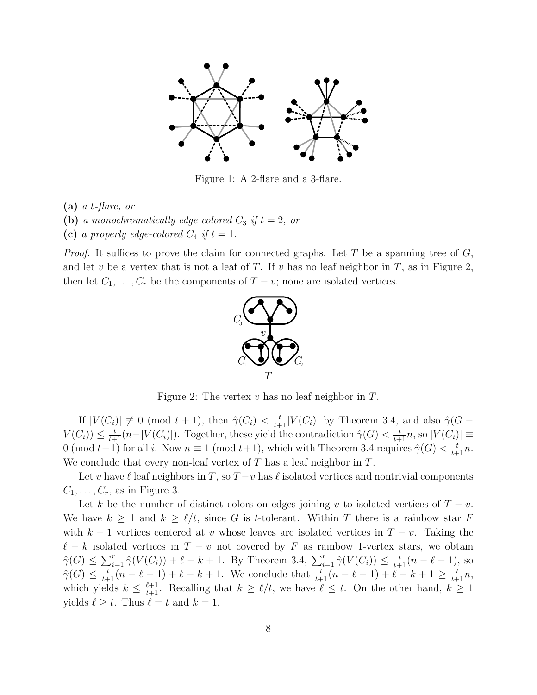

Figure 1: A 2-flare and a 3-flare.

 $(a)$  a t-flare, or

(b) a monochromatically edge-colored  $C_3$  if  $t = 2$ , or

(c) a properly edge-colored  $C_4$  if  $t = 1$ .

*Proof.* It suffices to prove the claim for connected graphs. Let T be a spanning tree of  $G$ , and let v be a vertex that is not a leaf of T. If v has no leaf neighbor in T, as in Figure 2. then let  $C_1, \ldots, C_r$  be the components of  $T - v$ ; none are isolated vertices.



Figure 2: The vertex  $v$  has no leaf neighbor in  $T$ .

If  $|V(C_i)| \not\equiv 0 \pmod{t+1}$ , then  $\hat{\gamma}(C_i) < \frac{t}{t+1} |V(C_i)|$  by Theorem 3.4, and also  $\hat{\gamma}(G V(C_i) \leq \frac{t}{t+1} (n-|V(C_i)|)$ . Together, these yield the contradiction  $\hat{\gamma}(G) < \frac{t}{t+1}n$ , so  $|V(C_i)| \equiv$ 0 (mod  $t+1$ ) for all i. Now  $n \equiv 1 \pmod{t+1}$ , which with Theorem 3.4 requires  $\hat{\gamma}(G) < \frac{t}{t+1}n$ . We conclude that every non-leaf vertex of  $T$  has a leaf neighbor in  $T$ .

Let v have  $\ell$  leaf neighbors in T, so  $T - v$  has  $\ell$  isolated vertices and nontrivial components  $C_1, \ldots, C_r$ , as in Figure 3.

Let k be the number of distinct colors on edges joining v to isolated vertices of  $T - v$ . We have  $k \geq 1$  and  $k \geq \ell/t$ , since G is t-tolerant. Within T there is a rainbow star F with  $k + 1$  vertices centered at v whose leaves are isolated vertices in  $T - v$ . Taking the  $\ell - k$  isolated vertices in  $T - v$  not covered by F as rainbow 1-vertex stars, we obtain  $\hat{\gamma}(G) \leq \sum_{i=1}^r \hat{\gamma}(V(C_i)) + \ell - k + 1$ . By Theorem 3.4,  $\sum_{i=1}^r \hat{\gamma}(V(C_i)) \leq \frac{t}{t+1}(n - \ell - 1)$ , so  $\hat{\gamma}(G) \leq \frac{t}{t+1}(n-\ell-1) + \ell - k + 1$ . We conclude that  $\frac{t}{t+1}(n-\ell-1) + \ell - k + 1 \geq \frac{t}{t+1}n$ , which yields  $k \leq \frac{\ell+1}{t+1}$ . Recalling that  $k \geq \ell/t$ , we have  $\ell \leq t$ . On the other hand,  $k \geq 1$ yields  $\ell \geq t$ . Thus  $\ell = t$  and  $k = 1$ .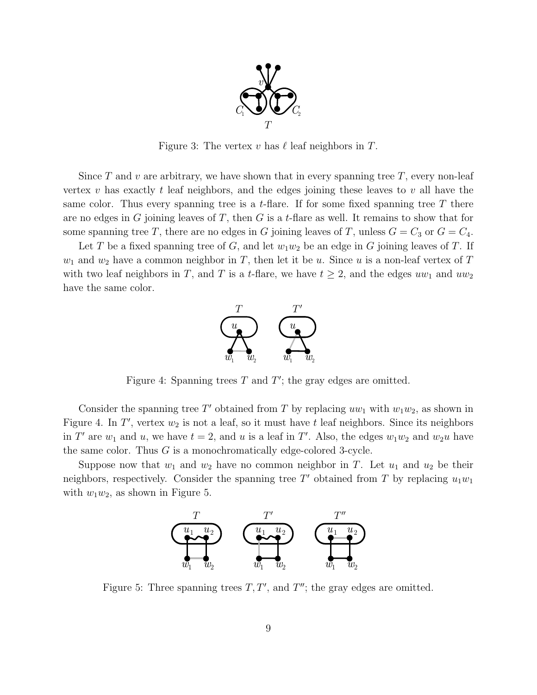

Figure 3: The vertex v has  $\ell$  leaf neighbors in T.

Since T and v are arbitrary, we have shown that in every spanning tree T, every non-leaf vertex v has exactly t leaf neighbors, and the edges joining these leaves to v all have the same color. Thus every spanning tree is a t-flare. If for some fixed spanning tree  $T$  there are no edges in G joining leaves of T, then G is a t-flare as well. It remains to show that for some spanning tree T, there are no edges in G joining leaves of T, unless  $G = C_3$  or  $G = C_4$ .

Let T be a fixed spanning tree of G, and let  $w_1w_2$  be an edge in G joining leaves of T. If  $w_1$  and  $w_2$  have a common neighbor in T, then let it be u. Since u is a non-leaf vertex of T with two leaf neighbors in T, and T is a t-flare, we have  $t \geq 2$ , and the edges  $uw_1$  and  $uw_2$ have the same color.



Figure 4: Spanning trees  $T$  and  $T'$ ; the gray edges are omitted.

Consider the spanning tree T' obtained from T by replacing  $uw_1$  with  $w_1w_2$ , as shown in Figure 4. In  $T'$ , vertex  $w_2$  is not a leaf, so it must have t leaf neighbors. Since its neighbors in T' are  $w_1$  and u, we have  $t = 2$ , and u is a leaf in T'. Also, the edges  $w_1w_2$  and  $w_2u$  have the same color. Thus G is a monochromatically edge-colored 3-cycle.

Suppose now that  $w_1$  and  $w_2$  have no common neighbor in T. Let  $u_1$  and  $u_2$  be their neighbors, respectively. Consider the spanning tree  $T'$  obtained from T by replacing  $u_1w_1$ with  $w_1w_2$ , as shown in Figure 5.



Figure 5: Three spanning trees  $T, T'$ , and  $T''$ ; the gray edges are omitted.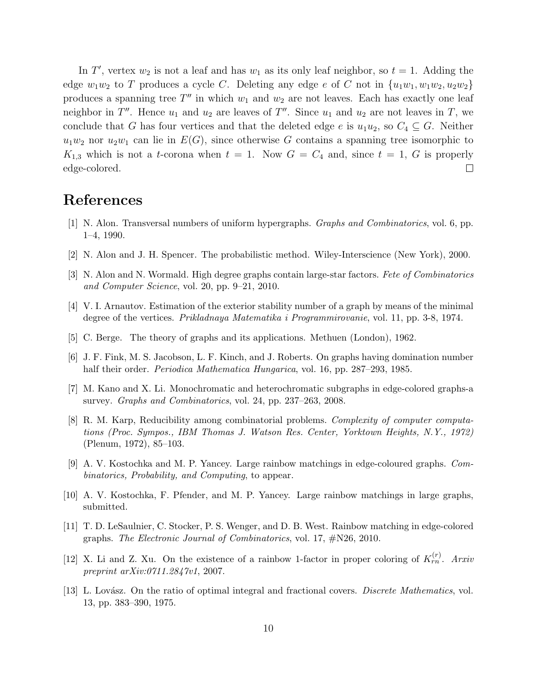In T', vertex  $w_2$  is not a leaf and has  $w_1$  as its only leaf neighbor, so  $t = 1$ . Adding the edge  $w_1w_2$  to T produces a cycle C. Deleting any edge e of C not in  $\{u_1w_1, w_1w_2, u_2w_2\}$ produces a spanning tree  $T''$  in which  $w_1$  and  $w_2$  are not leaves. Each has exactly one leaf neighbor in  $T''$ . Hence  $u_1$  and  $u_2$  are leaves of  $T''$ . Since  $u_1$  and  $u_2$  are not leaves in T, we conclude that G has four vertices and that the deleted edge e is  $u_1u_2$ , so  $C_4 \subseteq G$ . Neither  $u_1w_2$  nor  $u_2w_1$  can lie in  $E(G)$ , since otherwise G contains a spanning tree isomorphic to  $K_{1,3}$  which is not a t-corona when  $t = 1$ . Now  $G = C_4$  and, since  $t = 1$ , G is properly edge-colored.  $\Box$ 

### References

- [1] N. Alon. Transversal numbers of uniform hypergraphs. Graphs and Combinatorics, vol. 6, pp. 1–4, 1990.
- [2] N. Alon and J. H. Spencer. The probabilistic method. Wiley-Interscience (New York), 2000.
- [3] N. Alon and N. Wormald. High degree graphs contain large-star factors. Fete of Combinatorics and Computer Science, vol. 20, pp. 9–21, 2010.
- [4] V. I. Arnautov. Estimation of the exterior stability number of a graph by means of the minimal degree of the vertices. Prikladnaya Matematika i Programmirovanie, vol. 11, pp. 3-8, 1974.
- [5] C. Berge. The theory of graphs and its applications. Methuen (London), 1962.
- [6] J. F. Fink, M. S. Jacobson, L. F. Kinch, and J. Roberts. On graphs having domination number half their order. Periodica Mathematica Hungarica, vol. 16, pp. 287–293, 1985.
- [7] M. Kano and X. Li. Monochromatic and heterochromatic subgraphs in edge-colored graphs-a survey. Graphs and Combinatorics, vol. 24, pp. 237–263, 2008.
- [8] R. M. Karp, Reducibility among combinatorial problems. Complexity of computer computations (Proc. Sympos., IBM Thomas J. Watson Res. Center, Yorktown Heights, N.Y., 1972) (Plenum, 1972), 85–103.
- [9] A. V. Kostochka and M. P. Yancey. Large rainbow matchings in edge-coloured graphs. Combinatorics, Probability, and Computing, to appear.
- [10] A. V. Kostochka, F. Pfender, and M. P. Yancey. Large rainbow matchings in large graphs, submitted.
- [11] T. D. LeSaulnier, C. Stocker, P. S. Wenger, and D. B. West. Rainbow matching in edge-colored graphs. The Electronic Journal of Combinatorics, vol. 17, #N26, 2010.
- [12] X. Li and Z. Xu. On the existence of a rainbow 1-factor in proper coloring of  $K_{rn}^{(r)}$ . Arxiv preprint arXiv:0711.2847v1, 2007.
- [13] L. Lovász. On the ratio of optimal integral and fractional covers. *Discrete Mathematics*, vol. 13, pp. 383–390, 1975.